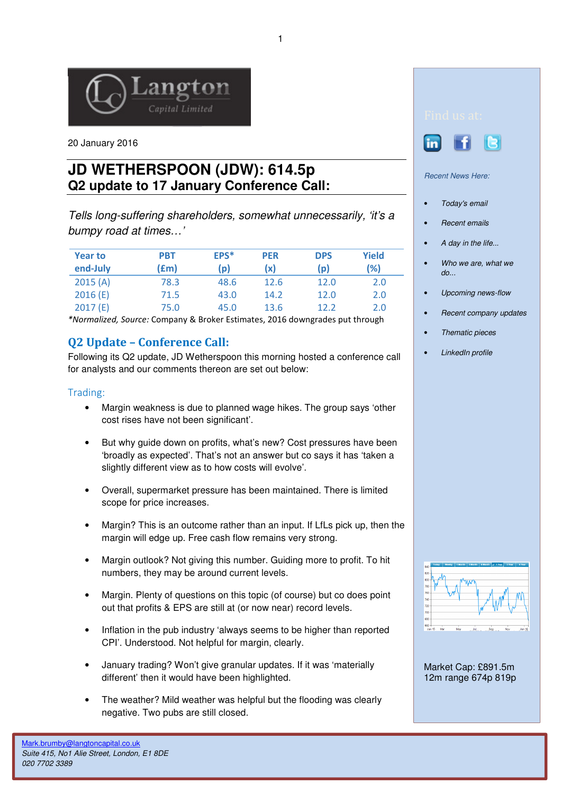

20 January 2016

# **JD WETHERSPOON (JDW): 614.5p Q2 update to 17 January Conference Call:**

Tells long-suffering shareholders, somewhat unnecessarily, 'it's a bumpy road at times…'

| <b>Year to</b> | PBT  | EPS* | <b>PER</b> | <b>DPS</b> | <b>Yield</b> |
|----------------|------|------|------------|------------|--------------|
| end-July       | (£m) | (p)  | (x)        | (p)        | (%)          |
| 2015(A)        | 78.3 | 48.6 | 12.6       | 12.0       | 2.0          |
| 2016(E)        | 71.5 | 43.0 | 14.2       | 12.0       | 2.0          |
| 2017(E)        | 75.0 | 45.0 | 13.6       | 12.2       | 2.0          |

\*Normalized, Source: Company & Broker Estimates, 2016 downgrades put through

## Q2 Update – Conference Call:

Following its Q2 update, JD Wetherspoon this morning hosted a conference call for analysts and our comments thereon are set out below:

#### Trading:

- Margin weakness is due to planned wage hikes. The group says 'other cost rises have not been significant'.
- But why guide down on profits, what's new? Cost pressures have been 'broadly as expected'. That's not an answer but co says it has 'taken a slightly different view as to how costs will evolve'.
- Overall, supermarket pressure has been maintained. There is limited scope for price increases.
- Margin? This is an outcome rather than an input. If LfLs pick up, then the margin will edge up. Free cash flow remains very strong.
- Margin outlook? Not giving this number. Guiding more to profit. To hit numbers, they may be around current levels.
- Margin. Plenty of questions on this topic (of course) but co does point out that profits & EPS are still at (or now near) record levels.
- Inflation in the pub industry 'always seems to be higher than reported CPI'. Understood. Not helpful for margin, clearly.
- January trading? Won't give granular updates. If it was 'materially different' then it would have been highlighted.
- The weather? Mild weather was helpful but the flooding was clearly negative. Two pubs are still closed.





Recent News Here:

- Today's email
- Recent emails
- A day in the life...
- Who we are, what we do...
- Upcoming news-flow
- Recent company updates
- Thematic pieces
- LinkedIn profile



Market Cap: £891.5m 12m range 674p 819p